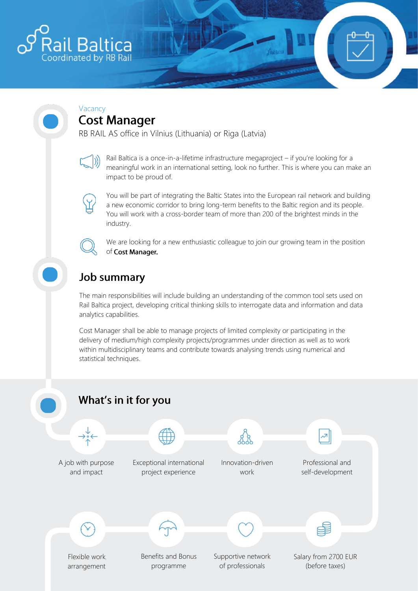

#### Vacancy **Cost Manager**

RB RAIL AS office in Vilnius (Lithuania) or Riga (Latvia)

Rail Baltica is a once-in-a-lifetime infrastructure megaproject – if you're looking for a meaningful work in an international setting, look no further. This is where you can make an impact to be proud of.

You will be part of integrating the Baltic States into the European rail network and building a new economic corridor to bring long-term benefits to the Baltic region and its people. You will work with a cross-border team of more than 200 of the brightest minds in the industry.



We are looking for a new enthusiastic colleague to join our growing team in the position of Cost Manager.

# **Job summary**

The main responsibilities will include building an understanding of the common tool sets used on Rail Baltica project, developing critical thinking skills to interrogate data and information and data analytics capabilities.

Cost Manager shall be able to manage projects of limited complexity or participating in the delivery of medium/high complexity projects/programmes under direction as well as to work within multidisciplinary teams and contribute towards analysing trends using numerical and statistical techniques.